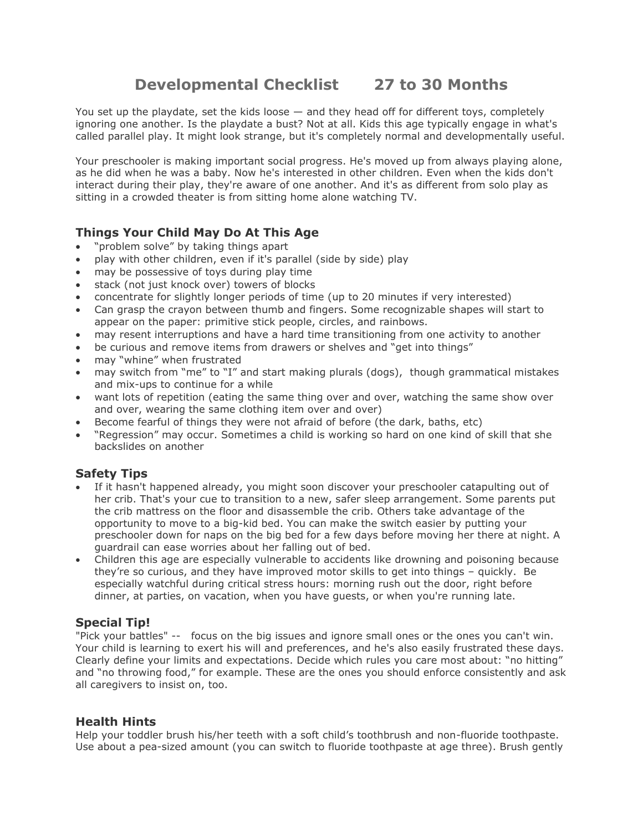# **Developmental Checklist 27 to 30 Months**

You set up the playdate, set the kids loose — and they head off for different toys, completely ignoring one another. Is the playdate a bust? Not at all. Kids this age typically engage in what's called parallel play. It might look strange, but it's completely normal and developmentally useful.

Your preschooler is making important social progress. He's moved up from always playing alone, as he did when he was a baby. Now he's interested in other children. Even when the kids don't interact during their play, they're aware of one another. And it's as different from solo play as sitting in a crowded theater is from sitting home alone watching TV.

## **Things Your Child May Do At This Age**

- "problem solve" by taking things apart
- play with other children, even if it's parallel (side by side) play
- may be possessive of toys during play time
- stack (not just knock over) towers of blocks
- concentrate for slightly longer periods of time (up to 20 minutes if very interested)
- Can grasp the crayon between thumb and fingers. Some recognizable shapes will start to appear on the paper: primitive stick people, circles, and rainbows.
- may resent interruptions and have a hard time transitioning from one activity to another
- be curious and remove items from drawers or shelves and "get into things"
- may "whine" when frustrated
- may switch from "me" to "I" and start making plurals (dogs), though grammatical mistakes and mix-ups to continue for a while
- want lots of repetition (eating the same thing over and over, watching the same show over and over, wearing the same clothing item over and over)
- Become fearful of things they were not afraid of before (the dark, baths, etc)
- "Regression" may occur. Sometimes a child is working so hard on one kind of skill that she backslides on another

#### **Safety Tips**

- If it hasn't happened already, you might soon discover your preschooler catapulting out of her crib. That's your cue to transition to a new, safer sleep arrangement. Some parents put the crib mattress on the floor and disassemble the crib. Others take advantage of the opportunity to move to a big-kid bed. You can make the switch easier by putting your preschooler down for naps on the big bed for a few days before moving her there at night. A guardrail can ease worries about her falling out of bed.
- Children this age are especially vulnerable to accidents like drowning and poisoning because they're so curious, and they have improved motor skills to get into things – quickly. Be especially watchful during critical stress hours: morning rush out the door, right before dinner, at parties, on vacation, when you have guests, or when you're running late.

#### **Special Tip!**

"Pick your battles" -- focus on the big issues and ignore small ones or the ones you can't win. Your child is learning to exert his will and preferences, and he's also easily frustrated these days. Clearly define your limits and expectations. Decide which rules you care most about: "no hitting" and "no throwing food," for example. These are the ones you should enforce consistently and ask all caregivers to insist on, too.

#### **Health Hints**

Help your toddler brush his/her teeth with a soft child's toothbrush and non-fluoride toothpaste. Use about a pea-sized amount (you can switch to fluoride toothpaste at age three). Brush gently